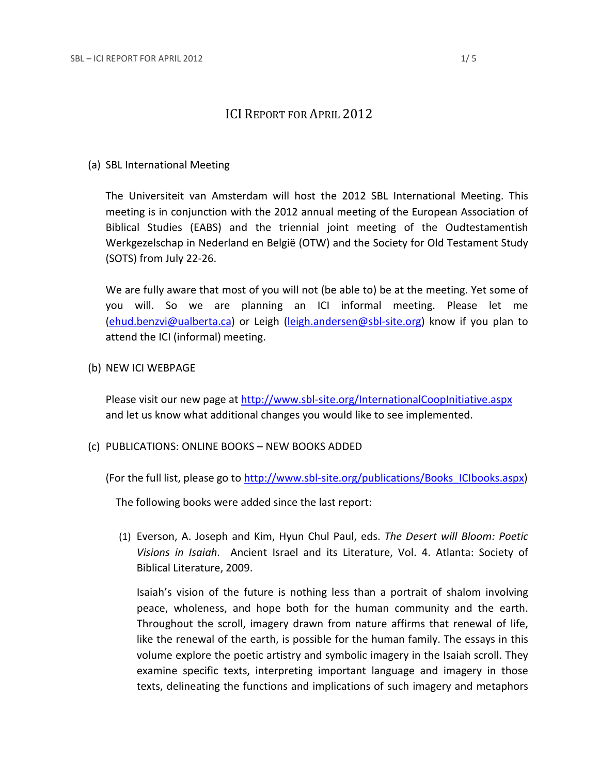# ICI REPORT FOR APRIL 2012

# (a) SBL International Meeting

The Universiteit van Amsterdam will host the 2012 SBL International Meeting. This meeting is in conjunction with the 2012 annual meeting of the European Association of Biblical Studies (EABS) and the triennial joint meeting of the Oudtestamentish Werkgezelschap in Nederland en België (OTW) and the Society for Old Testament Study (SOTS) from July 22-26.

We are fully aware that most of you will not (be able to) be at the meeting. Yet some of you will. So we are planning an ICI informal meeting. Please let me [\(ehud.benzvi@ualberta.ca\)](mailto:ehud.benzvi@ualberta.ca) or Leigh [\(leigh.andersen@sbl-site.org\)](mailto:leigh.andersen@sbl-site.org) know if you plan to attend the ICI (informal) meeting.

(b) NEW ICI WEBPAGE

Please visit our new page at<http://www.sbl-site.org/InternationalCoopInitiative.aspx> and let us know what additional changes you would like to see implemented.

(c) PUBLICATIONS: ONLINE BOOKS – NEW BOOKS ADDED

(For the full list, please go to [http://www.sbl-site.org/publications/Books\\_ICIbooks.aspx\)](http://www.sbl-site.org/publications/Books_ICIbooks.aspx)

The following books were added since the last report:

(1) Everson, A. Joseph and Kim, Hyun Chul Paul, eds. *The Desert will Bloom: Poetic Visions in Isaiah*. Ancient Israel and its Literature, Vol. 4. Atlanta: Society of Biblical Literature, 2009.

Isaiah's vision of the future is nothing less than a portrait of shalom involving peace, wholeness, and hope both for the human community and the earth. Throughout the scroll, imagery drawn from nature affirms that renewal of life, like the renewal of the earth, is possible for the human family. The essays in this volume explore the poetic artistry and symbolic imagery in the Isaiah scroll. They examine specific texts, interpreting important language and imagery in those texts, delineating the functions and implications of such imagery and metaphors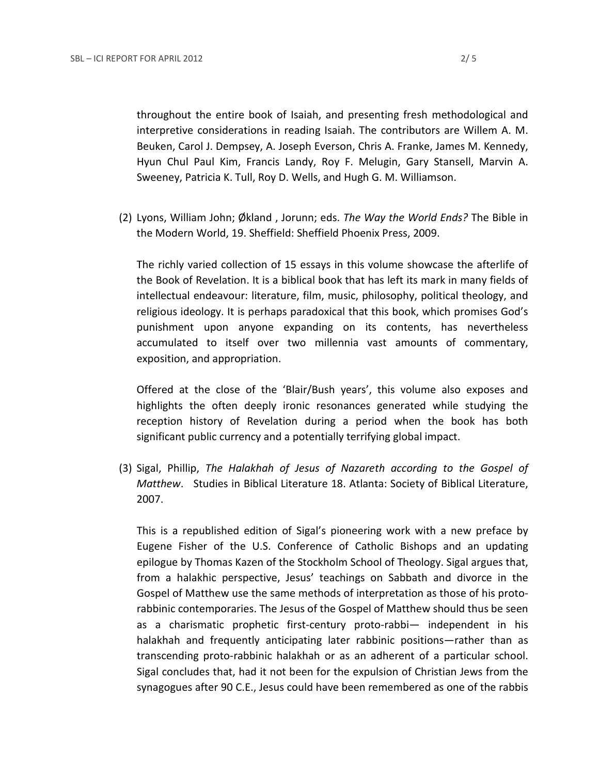throughout the entire book of Isaiah, and presenting fresh methodological and interpretive considerations in reading Isaiah. The contributors are Willem A. M. Beuken, Carol J. Dempsey, A. Joseph Everson, Chris A. Franke, James M. Kennedy, Hyun Chul Paul Kim, Francis Landy, Roy F. Melugin, Gary Stansell, Marvin A. Sweeney, Patricia K. Tull, Roy D. Wells, and Hugh G. M. Williamson.

(2) Lyons, William John; Økland , Jorunn; eds. *The Way the World Ends?* The Bible in the Modern World, 19. Sheffield: Sheffield Phoenix Press, 2009.

The richly varied collection of 15 essays in this volume showcase the afterlife of the Book of Revelation. It is a biblical book that has left its mark in many fields of intellectual endeavour: literature, film, music, philosophy, political theology, and religious ideology. It is perhaps paradoxical that this book, which promises God's punishment upon anyone expanding on its contents, has nevertheless accumulated to itself over two millennia vast amounts of commentary, exposition, and appropriation.

Offered at the close of the 'Blair/Bush years', this volume also exposes and highlights the often deeply ironic resonances generated while studying the reception history of Revelation during a period when the book has both significant public currency and a potentially terrifying global impact.

(3) Sigal, Phillip, *The Halakhah of Jesus of Nazareth according to the Gospel of Matthew*. Studies in Biblical Literature 18. Atlanta: Society of Biblical Literature, 2007.

This is a republished edition of Sigal's pioneering work with a new preface by Eugene Fisher of the U.S. Conference of Catholic Bishops and an updating epilogue by Thomas Kazen of the Stockholm School of Theology. Sigal argues that, from a halakhic perspective, Jesus' teachings on Sabbath and divorce in the Gospel of Matthew use the same methods of interpretation as those of his protorabbinic contemporaries. The Jesus of the Gospel of Matthew should thus be seen as a charismatic prophetic first-century proto-rabbi— independent in his halakhah and frequently anticipating later rabbinic positions—rather than as transcending proto-rabbinic halakhah or as an adherent of a particular school. Sigal concludes that, had it not been for the expulsion of Christian Jews from the synagogues after 90 C.E., Jesus could have been remembered as one of the rabbis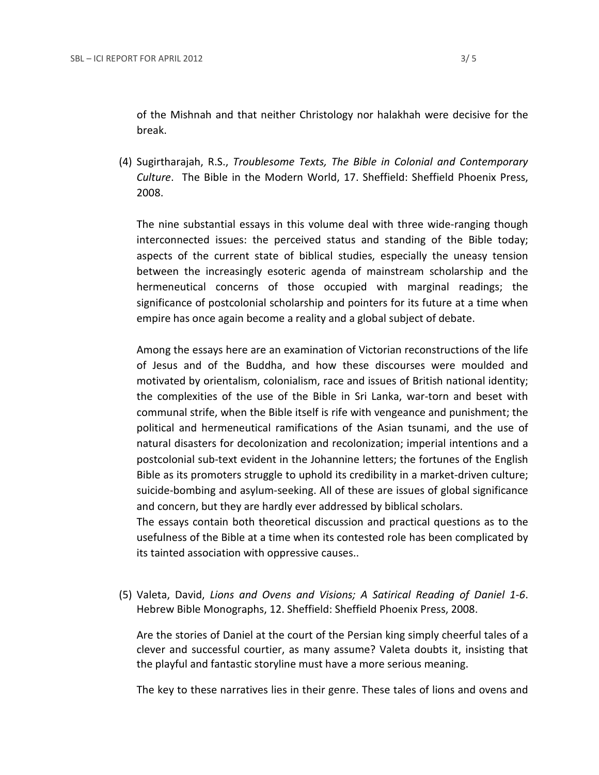of the Mishnah and that neither Christology nor halakhah were decisive for the break.

(4) Sugirtharajah, R.S., *Troublesome Texts, The Bible in Colonial and Contemporary Culture*. The Bible in the Modern World, 17. Sheffield: Sheffield Phoenix Press, 2008.

The nine substantial essays in this volume deal with three wide-ranging though interconnected issues: the perceived status and standing of the Bible today; aspects of the current state of biblical studies, especially the uneasy tension between the increasingly esoteric agenda of mainstream scholarship and the hermeneutical concerns of those occupied with marginal readings; the significance of postcolonial scholarship and pointers for its future at a time when empire has once again become a reality and a global subject of debate.

Among the essays here are an examination of Victorian reconstructions of the life of Jesus and of the Buddha, and how these discourses were moulded and motivated by orientalism, colonialism, race and issues of British national identity; the complexities of the use of the Bible in Sri Lanka, war-torn and beset with communal strife, when the Bible itself is rife with vengeance and punishment; the political and hermeneutical ramifications of the Asian tsunami, and the use of natural disasters for decolonization and recolonization; imperial intentions and a postcolonial sub-text evident in the Johannine letters; the fortunes of the English Bible as its promoters struggle to uphold its credibility in a market-driven culture; suicide-bombing and asylum-seeking. All of these are issues of global significance and concern, but they are hardly ever addressed by biblical scholars.

The essays contain both theoretical discussion and practical questions as to the usefulness of the Bible at a time when its contested role has been complicated by its tainted association with oppressive causes..

(5) Valeta, David, *Lions and Ovens and Visions; A Satirical Reading of Daniel 1-6*. Hebrew Bible Monographs, 12. Sheffield: Sheffield Phoenix Press, 2008.

Are the stories of Daniel at the court of the Persian king simply cheerful tales of a clever and successful courtier, as many assume? Valeta doubts it, insisting that the playful and fantastic storyline must have a more serious meaning.

The key to these narratives lies in their genre. These tales of lions and ovens and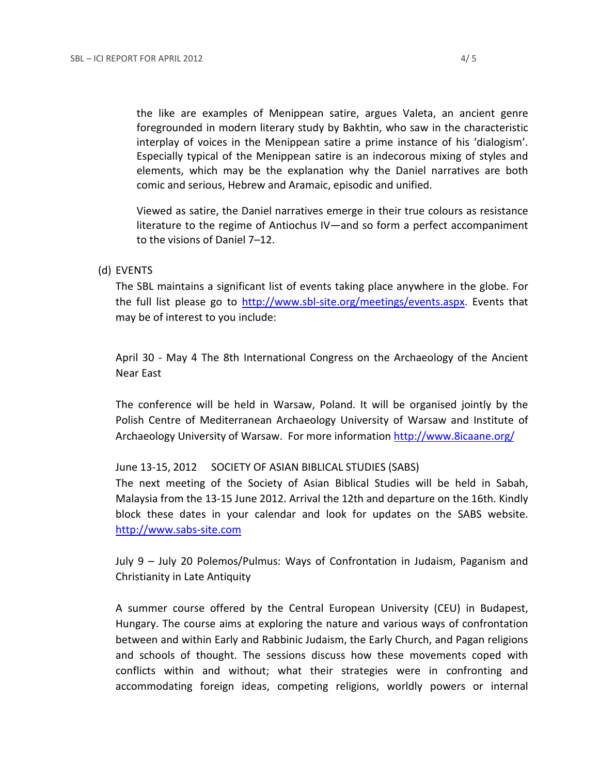the like are examples of Menippean satire, argues Valeta, an ancient genre foregrounded in modern literary study by Bakhtin, who saw in the characteristic interplay of voices in the Menippean satire a prime instance of his 'dialogism'. Especially typical of the Menippean satire is an indecorous mixing of styles and elements, which may be the explanation why the Daniel narratives are both comic and serious, Hebrew and Aramaic, episodic and unified.

Viewed as satire, the Daniel narratives emerge in their true colours as resistance literature to the regime of Antiochus IV—and so form a perfect accompaniment to the visions of Daniel 7–12.

#### (d) EVENTS

The SBL maintains a significant list of events taking place anywhere in the globe. For the full list please go to [http://www.sbl-site.org/meetings/events.aspx.](http://www.sbl-site.org/meetings/events.aspx) Events that may be of interest to you include:

April 30 - May 4 The 8th International Congress on the Archaeology of the Ancient Near East

The conference will be held in Warsaw, Poland. It will be organised jointly by the Polish Centre of Mediterranean Archaeology University of Warsaw and Institute of Archaeology University of Warsaw. For more information<http://www.8icaane.org/>

#### June 13-15, 2012 SOCIETY OF ASIAN BIBLICAL STUDIES (SABS)

The next meeting of the Society of Asian Biblical Studies will be held in Sabah, Malaysia from the 13-15 June 2012. Arrival the 12th and departure on the 16th. Kindly block these dates in your calendar and look for updates on the SABS website. [http://www.sabs-site.com](http://www.sabs-site.com/)

July 9 – July 20 Polemos/Pulmus: Ways of Confrontation in Judaism, Paganism and Christianity in Late Antiquity

A summer course offered by the Central European University (CEU) in Budapest, Hungary. The course aims at exploring the nature and various ways of confrontation between and within Early and Rabbinic Judaism, the Early Church, and Pagan religions and schools of thought. The sessions discuss how these movements coped with conflicts within and without; what their strategies were in confronting and accommodating foreign ideas, competing religions, worldly powers or internal